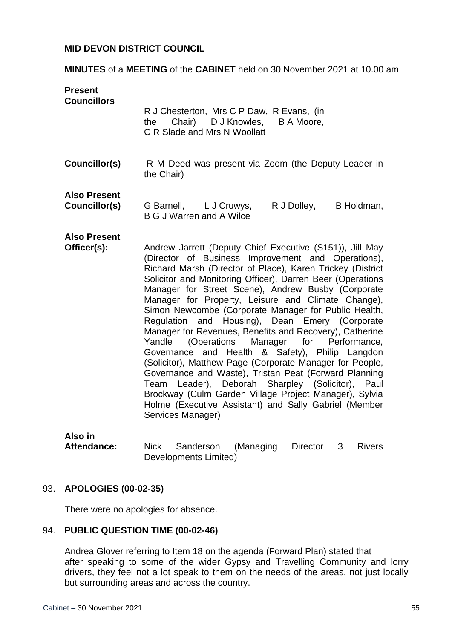### **MID DEVON DISTRICT COUNCIL**

**MINUTES** of a **MEETING** of the **CABINET** held on 30 November 2021 at 10.00 am

**Present Councillors** R J Chesterton, Mrs C P Daw, R Evans, (in the Chair) D J Knowles, B A Moore, C R Slade and Mrs N Woollatt **Councillor(s)** R M Deed was present via Zoom (the Deputy Leader in the Chair) **Also Present Councillor(s)** G Barnell, L J Cruwys, R J Dolley, B Holdman, B G J Warren and A Wilce **Also Present Officer(s):**  Andrew Jarrett (Deputy Chief Executive (S151)), Jill May (Director of Business Improvement and Operations), Richard Marsh (Director of Place), Karen Trickey (District Solicitor and Monitoring Officer), Darren Beer (Operations Manager for Street Scene), Andrew Busby (Corporate Manager for Property, Leisure and Climate Change), Simon Newcombe (Corporate Manager for Public Health, Regulation and Housing), Dean Emery (Corporate Manager for Revenues, Benefits and Recovery), Catherine Yandle (Operations Manager for Performance, Governance and Health & Safety), Philip Langdon (Solicitor), Matthew Page (Corporate Manager for People, Governance and Waste), Tristan Peat (Forward Planning Team Leader), Deborah Sharpley (Solicitor), Paul Brockway (Culm Garden Village Project Manager), Sylvia Holme (Executive Assistant) and Sally Gabriel (Member Services Manager)

**Also in** 

**Attendance:** Nick Sanderson (Managing Director 3 Rivers Developments Limited)

#### 93. **APOLOGIES (00-02-35)**

There were no apologies for absence.

#### 94. **PUBLIC QUESTION TIME (00-02-46)**

Andrea Glover referring to Item 18 on the agenda (Forward Plan) stated that after speaking to some of the wider Gypsy and Travelling Community and lorry drivers, they feel not a lot speak to them on the needs of the areas, not just locally but surrounding areas and across the country.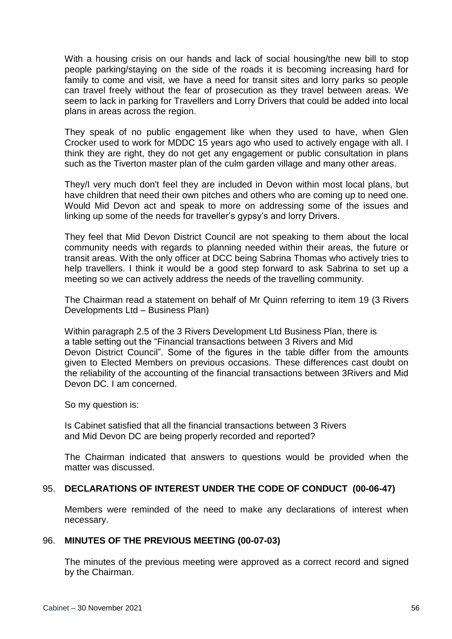With a housing crisis on our hands and lack of social housing/the new bill to stop people parking/staying on the side of the roads it is becoming increasing hard for family to come and visit, we have a need for transit sites and lorry parks so people can travel freely without the fear of prosecution as they travel between areas. We seem to lack in parking for Travellers and Lorry Drivers that could be added into local plans in areas across the region.

They speak of no public engagement like when they used to have, when Glen Crocker used to work for MDDC 15 years ago who used to actively engage with all. I think they are right, they do not get any engagement or public consultation in plans such as the Tiverton master plan of the culm garden village and many other areas.

They/I very much don't feel they are included in Devon within most local plans, but have children that need their own pitches and others who are coming up to need one. Would Mid Devon act and speak to more on addressing some of the issues and linking up some of the needs for traveller's gypsy's and lorry Drivers.

They feel that Mid Devon District Council are not speaking to them about the local community needs with regards to planning needed within their areas, the future or transit areas. With the only officer at DCC being Sabrina Thomas who actively tries to help travellers. I think it would be a good step forward to ask Sabrina to set up a meeting so we can actively address the needs of the travelling community.

The Chairman read a statement on behalf of Mr Quinn referring to item 19 (3 Rivers Developments Ltd – Business Plan)

Within paragraph 2.5 of the 3 Rivers Development Ltd Business Plan, there is a table setting out the "Financial transactions between 3 Rivers and Mid Devon District Council". Some of the figures in the table differ from the amounts given to Elected Members on previous occasions. These differences cast doubt on the reliability of the accounting of the financial transactions between 3Rivers and Mid Devon DC. I am concerned.

So my question is:

Is Cabinet satisfied that all the financial transactions between 3 Rivers and Mid Devon DC are being properly recorded and reported?

The Chairman indicated that answers to questions would be provided when the matter was discussed.

## 95. **DECLARATIONS OF INTEREST UNDER THE CODE OF CONDUCT (00-06-47)**

Members were reminded of the need to make any declarations of interest when necessary.

## 96. **MINUTES OF THE PREVIOUS MEETING (00-07-03)**

The minutes of the previous meeting were approved as a correct record and signed by the Chairman.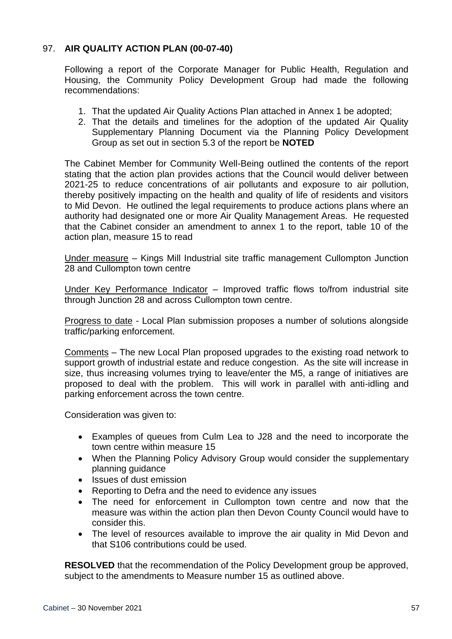# 97. **AIR QUALITY ACTION PLAN (00-07-40)**

Following a report of the Corporate Manager for Public Health, Regulation and Housing, the Community Policy Development Group had made the following recommendations:

- 1. That the updated Air Quality Actions Plan attached in Annex 1 be adopted;
- 2. That the details and timelines for the adoption of the updated Air Quality Supplementary Planning Document via the Planning Policy Development Group as set out in section 5.3 of the report be **NOTED**

The Cabinet Member for Community Well-Being outlined the contents of the report stating that the action plan provides actions that the Council would deliver between 2021-25 to reduce concentrations of air pollutants and exposure to air pollution, thereby positively impacting on the health and quality of life of residents and visitors to Mid Devon. He outlined the legal requirements to produce actions plans where an authority had designated one or more Air Quality Management Areas. He requested that the Cabinet consider an amendment to annex 1 to the report, table 10 of the action plan, measure 15 to read

Under measure – Kings Mill Industrial site traffic management Cullompton Junction 28 and Cullompton town centre

Under Key Performance Indicator – Improved traffic flows to/from industrial site through Junction 28 and across Cullompton town centre.

Progress to date - Local Plan submission proposes a number of solutions alongside traffic/parking enforcement.

Comments – The new Local Plan proposed upgrades to the existing road network to support growth of industrial estate and reduce congestion. As the site will increase in size, thus increasing volumes trying to leave/enter the M5, a range of initiatives are proposed to deal with the problem. This will work in parallel with anti-idling and parking enforcement across the town centre.

Consideration was given to:

- Examples of queues from Culm Lea to J28 and the need to incorporate the town centre within measure 15
- When the Planning Policy Advisory Group would consider the supplementary planning guidance
- Issues of dust emission
- Reporting to Defra and the need to evidence any issues
- The need for enforcement in Cullompton town centre and now that the measure was within the action plan then Devon County Council would have to consider this.
- The level of resources available to improve the air quality in Mid Devon and that S106 contributions could be used.

**RESOLVED** that the recommendation of the Policy Development group be approved, subject to the amendments to Measure number 15 as outlined above.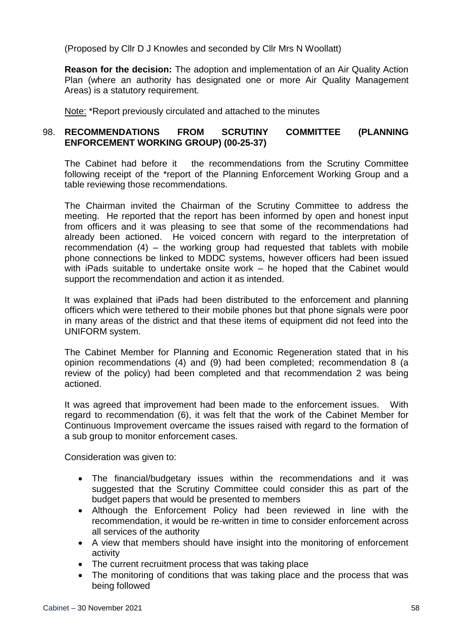(Proposed by Cllr D J Knowles and seconded by Cllr Mrs N Woollatt)

**Reason for the decision:** The adoption and implementation of an Air Quality Action Plan (where an authority has designated one or more Air Quality Management Areas) is a statutory requirement.

Note: \*Report previously circulated and attached to the minutes

# 98. **RECOMMENDATIONS FROM SCRUTINY COMMITTEE (PLANNING ENFORCEMENT WORKING GROUP) (00-25-37)**

The Cabinet had before it the recommendations from the Scrutiny Committee following receipt of the \*report of the Planning Enforcement Working Group and a table reviewing those recommendations.

The Chairman invited the Chairman of the Scrutiny Committee to address the meeting. He reported that the report has been informed by open and honest input from officers and it was pleasing to see that some of the recommendations had already been actioned. He voiced concern with regard to the interpretation of recommendation (4) – the working group had requested that tablets with mobile phone connections be linked to MDDC systems, however officers had been issued with iPads suitable to undertake onsite work – he hoped that the Cabinet would support the recommendation and action it as intended.

It was explained that iPads had been distributed to the enforcement and planning officers which were tethered to their mobile phones but that phone signals were poor in many areas of the district and that these items of equipment did not feed into the UNIFORM system.

The Cabinet Member for Planning and Economic Regeneration stated that in his opinion recommendations (4) and (9) had been completed; recommendation 8 (a review of the policy) had been completed and that recommendation 2 was being actioned.

It was agreed that improvement had been made to the enforcement issues. With regard to recommendation (6), it was felt that the work of the Cabinet Member for Continuous Improvement overcame the issues raised with regard to the formation of a sub group to monitor enforcement cases.

Consideration was given to:

- The financial/budgetary issues within the recommendations and it was suggested that the Scrutiny Committee could consider this as part of the budget papers that would be presented to members
- Although the Enforcement Policy had been reviewed in line with the recommendation, it would be re-written in time to consider enforcement across all services of the authority
- A view that members should have insight into the monitoring of enforcement activity
- The current recruitment process that was taking place
- The monitoring of conditions that was taking place and the process that was being followed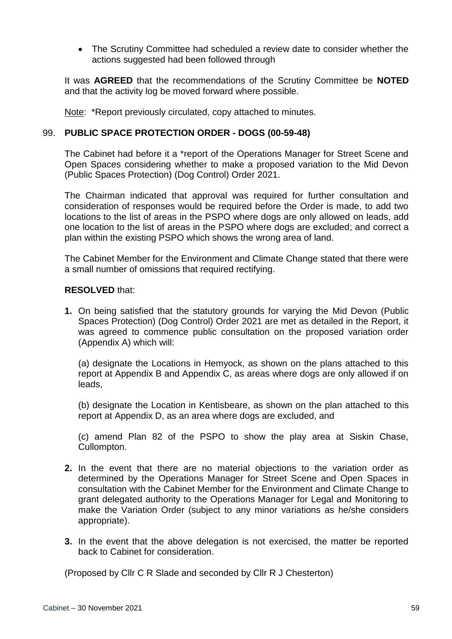The Scrutiny Committee had scheduled a review date to consider whether the actions suggested had been followed through

It was **AGREED** that the recommendations of the Scrutiny Committee be **NOTED** and that the activity log be moved forward where possible.

Note: \*Report previously circulated, copy attached to minutes.

### 99. **PUBLIC SPACE PROTECTION ORDER - DOGS (00-59-48)**

The Cabinet had before it a \*report of the Operations Manager for Street Scene and Open Spaces considering whether to make a proposed variation to the Mid Devon (Public Spaces Protection) (Dog Control) Order 2021.

The Chairman indicated that approval was required for further consultation and consideration of responses would be required before the Order is made, to add two locations to the list of areas in the PSPO where dogs are only allowed on leads, add one location to the list of areas in the PSPO where dogs are excluded; and correct a plan within the existing PSPO which shows the wrong area of land.

The Cabinet Member for the Environment and Climate Change stated that there were a small number of omissions that required rectifying.

### **RESOLVED** that:

**1.** On being satisfied that the statutory grounds for varying the Mid Devon (Public Spaces Protection) (Dog Control) Order 2021 are met as detailed in the Report, it was agreed to commence public consultation on the proposed variation order (Appendix A) which will:

(a) designate the Locations in Hemyock, as shown on the plans attached to this report at Appendix B and Appendix C, as areas where dogs are only allowed if on leads,

(b) designate the Location in Kentisbeare, as shown on the plan attached to this report at Appendix D, as an area where dogs are excluded, and

(c) amend Plan 82 of the PSPO to show the play area at Siskin Chase, Cullompton.

- **2.** In the event that there are no material objections to the variation order as determined by the Operations Manager for Street Scene and Open Spaces in consultation with the Cabinet Member for the Environment and Climate Change to grant delegated authority to the Operations Manager for Legal and Monitoring to make the Variation Order (subject to any minor variations as he/she considers appropriate).
- **3.** In the event that the above delegation is not exercised, the matter be reported back to Cabinet for consideration.

(Proposed by Cllr C R Slade and seconded by Cllr R J Chesterton)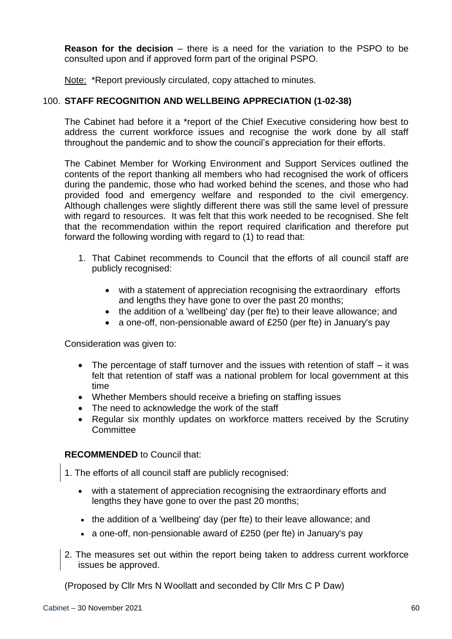**Reason for the decision** – there is a need for the variation to the PSPO to be consulted upon and if approved form part of the original PSPO.

Note: \*Report previously circulated, copy attached to minutes.

## 100. **STAFF RECOGNITION AND WELLBEING APPRECIATION (1-02-38)**

The Cabinet had before it a \*report of the Chief Executive considering how best to address the current workforce issues and recognise the work done by all staff throughout the pandemic and to show the council's appreciation for their efforts.

The Cabinet Member for Working Environment and Support Services outlined the contents of the report thanking all members who had recognised the work of officers during the pandemic, those who had worked behind the scenes, and those who had provided food and emergency welfare and responded to the civil emergency. Although challenges were slightly different there was still the same level of pressure with regard to resources. It was felt that this work needed to be recognised. She felt that the recommendation within the report required clarification and therefore put forward the following wording with regard to (1) to read that:

- 1. That Cabinet recommends to Council that the efforts of all council staff are publicly recognised:
	- with a statement of appreciation recognising the extraordinary efforts and lengths they have gone to over the past 20 months;
	- the addition of a 'wellbeing' day (per fte) to their leave allowance; and
	- a one-off, non-pensionable award of £250 (per fte) in January's pay

Consideration was given to:

- The percentage of staff turnover and the issues with retention of staff it was felt that retention of staff was a national problem for local government at this time
- Whether Members should receive a briefing on staffing issues
- The need to acknowledge the work of the staff
- Regular six monthly updates on workforce matters received by the Scrutiny **Committee**

## **RECOMMENDED** to Council that:

- 1. The efforts of all council staff are publicly recognised:
	- with a statement of appreciation recognising the extraordinary efforts and lengths they have gone to over the past 20 months;
	- the addition of a 'wellbeing' day (per fte) to their leave allowance; and
	- a one-off, non-pensionable award of £250 (per fte) in January's pay
- 2. The measures set out within the report being taken to address current workforce issues be approved.

(Proposed by Cllr Mrs N Woollatt and seconded by Cllr Mrs C P Daw)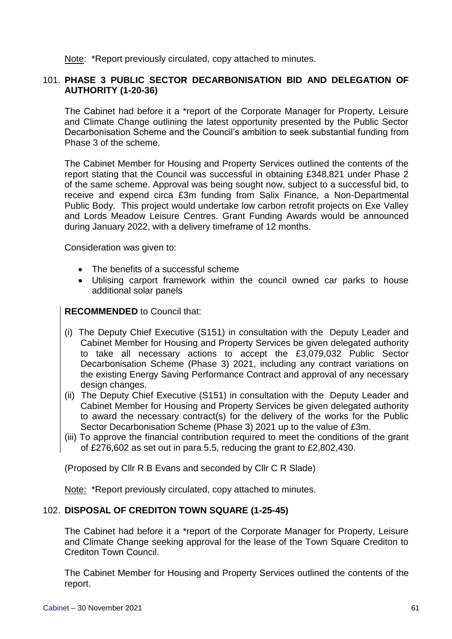Note: \*Report previously circulated, copy attached to minutes.

## 101. **PHASE 3 PUBLIC SECTOR DECARBONISATION BID AND DELEGATION OF AUTHORITY (1-20-36)**

The Cabinet had before it a \*report of the Corporate Manager for Property, Leisure and Climate Change outlining the latest opportunity presented by the Public Sector Decarbonisation Scheme and the Council's ambition to seek substantial funding from Phase 3 of the scheme.

The Cabinet Member for Housing and Property Services outlined the contents of the report stating that the Council was successful in obtaining £348,821 under Phase 2 of the same scheme. Approval was being sought now, subject to a successful bid, to receive and expend circa £3m funding from Salix Finance, a Non-Departmental Public Body. This project would undertake low carbon retrofit projects on Exe Valley and Lords Meadow Leisure Centres. Grant Funding Awards would be announced during January 2022, with a delivery timeframe of 12 months.

Consideration was given to:

- The benefits of a successful scheme
- Utilising carport framework within the council owned car parks to house additional solar panels

## **RECOMMENDED** to Council that:

- (i) The Deputy Chief Executive (S151) in consultation with the Deputy Leader and Cabinet Member for Housing and Property Services be given delegated authority to take all necessary actions to accept the £3,079,032 Public Sector Decarbonisation Scheme (Phase 3) 2021, including any contract variations on the existing Energy Saving Performance Contract and approval of any necessary design changes.
- (ii) The Deputy Chief Executive (S151) in consultation with the Deputy Leader and Cabinet Member for Housing and Property Services be given delegated authority to award the necessary contract(s) for the delivery of the works for the Public Sector Decarbonisation Scheme (Phase 3) 2021 up to the value of £3m.
- (iii) To approve the financial contribution required to meet the conditions of the grant of £276,602 as set out in para 5.5, reducing the grant to £2,802,430.

(Proposed by Cllr R B Evans and seconded by Cllr C R Slade)

Note: \*Report previously circulated, copy attached to minutes.

## 102. **DISPOSAL OF CREDITON TOWN SQUARE (1-25-45)**

The Cabinet had before it a \*report of the Corporate Manager for Property, Leisure and Climate Change seeking approval for the lease of the Town Square Crediton to Crediton Town Council.

The Cabinet Member for Housing and Property Services outlined the contents of the report.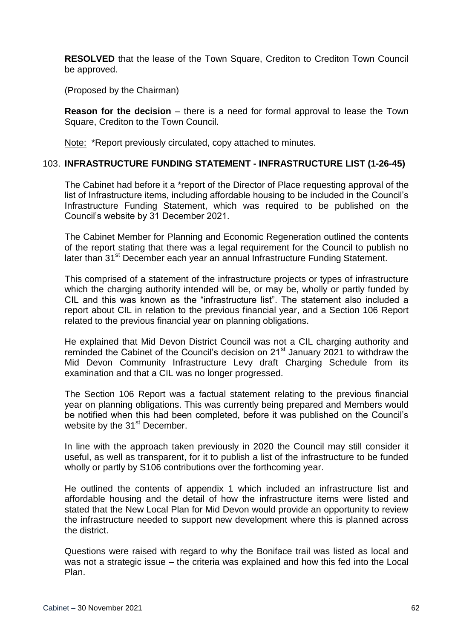**RESOLVED** that the lease of the Town Square, Crediton to Crediton Town Council be approved.

(Proposed by the Chairman)

**Reason for the decision** – there is a need for formal approval to lease the Town Square, Crediton to the Town Council.

Note: \*Report previously circulated, copy attached to minutes.

### 103. **INFRASTRUCTURE FUNDING STATEMENT - INFRASTRUCTURE LIST (1-26-45)**

The Cabinet had before it a \*report of the Director of Place requesting approval of the list of Infrastructure items, including affordable housing to be included in the Council's Infrastructure Funding Statement, which was required to be published on the Council's website by 31 December 2021.

The Cabinet Member for Planning and Economic Regeneration outlined the contents of the report stating that there was a legal requirement for the Council to publish no later than 31<sup>st</sup> December each year an annual Infrastructure Funding Statement.

This comprised of a statement of the infrastructure projects or types of infrastructure which the charging authority intended will be, or may be, wholly or partly funded by CIL and this was known as the "infrastructure list". The statement also included a report about CIL in relation to the previous financial year, and a Section 106 Report related to the previous financial year on planning obligations.

He explained that Mid Devon District Council was not a CIL charging authority and reminded the Cabinet of the Council's decision on  $21^{st}$  January 2021 to withdraw the Mid Devon Community Infrastructure Levy draft Charging Schedule from its examination and that a CIL was no longer progressed.

The Section 106 Report was a factual statement relating to the previous financial year on planning obligations. This was currently being prepared and Members would be notified when this had been completed, before it was published on the Council's website by the 31<sup>st</sup> December.

In line with the approach taken previously in 2020 the Council may still consider it useful, as well as transparent, for it to publish a list of the infrastructure to be funded wholly or partly by S106 contributions over the forthcoming year.

He outlined the contents of appendix 1 which included an infrastructure list and affordable housing and the detail of how the infrastructure items were listed and stated that the New Local Plan for Mid Devon would provide an opportunity to review the infrastructure needed to support new development where this is planned across the district.

Questions were raised with regard to why the Boniface trail was listed as local and was not a strategic issue – the criteria was explained and how this fed into the Local Plan.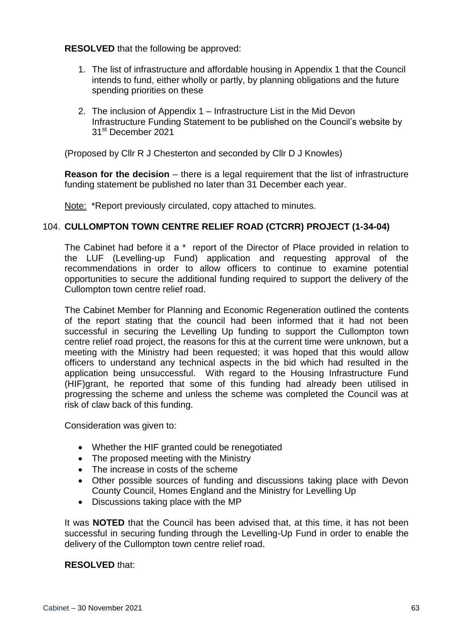**RESOLVED** that the following be approved:

- 1. The list of infrastructure and affordable housing in Appendix 1 that the Council intends to fund, either wholly or partly, by planning obligations and the future spending priorities on these
- 2. The inclusion of Appendix 1 Infrastructure List in the Mid Devon Infrastructure Funding Statement to be published on the Council's website by 31<sup>st</sup> December 2021

(Proposed by Cllr R J Chesterton and seconded by Cllr D J Knowles)

**Reason for the decision** – there is a legal requirement that the list of infrastructure funding statement be published no later than 31 December each year.

Note: \*Report previously circulated, copy attached to minutes.

## 104. **CULLOMPTON TOWN CENTRE RELIEF ROAD (CTCRR) PROJECT (1-34-04)**

The Cabinet had before it a \* report of the Director of Place provided in relation to the LUF (Levelling-up Fund) application and requesting approval of the recommendations in order to allow officers to continue to examine potential opportunities to secure the additional funding required to support the delivery of the Cullompton town centre relief road.

The Cabinet Member for Planning and Economic Regeneration outlined the contents of the report stating that the council had been informed that it had not been successful in securing the Levelling Up funding to support the Cullompton town centre relief road project, the reasons for this at the current time were unknown, but a meeting with the Ministry had been requested; it was hoped that this would allow officers to understand any technical aspects in the bid which had resulted in the application being unsuccessful. With regard to the Housing Infrastructure Fund (HIF)grant, he reported that some of this funding had already been utilised in progressing the scheme and unless the scheme was completed the Council was at risk of claw back of this funding.

Consideration was given to:

- Whether the HIF granted could be renegotiated
- The proposed meeting with the Ministry
- The increase in costs of the scheme
- Other possible sources of funding and discussions taking place with Devon County Council, Homes England and the Ministry for Levelling Up
- Discussions taking place with the MP

It was **NOTED** that the Council has been advised that, at this time, it has not been successful in securing funding through the Levelling-Up Fund in order to enable the delivery of the Cullompton town centre relief road.

## **RESOLVED** that: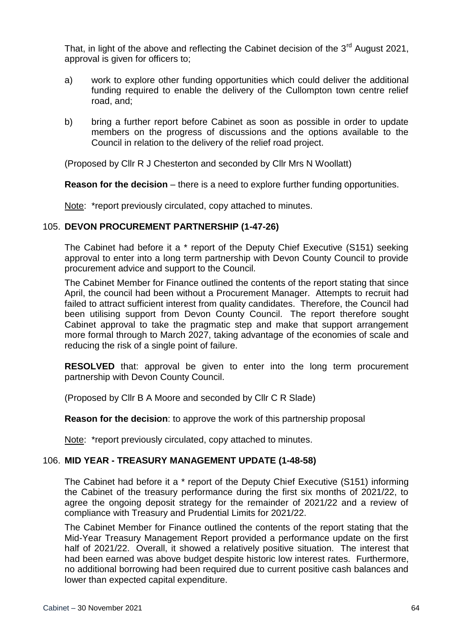That, in light of the above and reflecting the Cabinet decision of the  $3<sup>rd</sup>$  August 2021. approval is given for officers to;

- a) work to explore other funding opportunities which could deliver the additional funding required to enable the delivery of the Cullompton town centre relief road, and;
- b) bring a further report before Cabinet as soon as possible in order to update members on the progress of discussions and the options available to the Council in relation to the delivery of the relief road project.

(Proposed by Cllr R J Chesterton and seconded by Cllr Mrs N Woollatt)

**Reason for the decision** – there is a need to explore further funding opportunities.

Note: \*report previously circulated, copy attached to minutes.

### 105. **DEVON PROCUREMENT PARTNERSHIP (1-47-26)**

The Cabinet had before it a \* report of the Deputy Chief Executive (S151) seeking approval to enter into a long term partnership with Devon County Council to provide procurement advice and support to the Council.

The Cabinet Member for Finance outlined the contents of the report stating that since April, the council had been without a Procurement Manager. Attempts to recruit had failed to attract sufficient interest from quality candidates. Therefore, the Council had been utilising support from Devon County Council. The report therefore sought Cabinet approval to take the pragmatic step and make that support arrangement more formal through to March 2027, taking advantage of the economies of scale and reducing the risk of a single point of failure.

**RESOLVED** that: approval be given to enter into the long term procurement partnership with Devon County Council.

(Proposed by Cllr B A Moore and seconded by Cllr C R Slade)

**Reason for the decision**: to approve the work of this partnership proposal

Note: \*report previously circulated, copy attached to minutes.

## 106. **MID YEAR - TREASURY MANAGEMENT UPDATE (1-48-58)**

The Cabinet had before it a \* report of the Deputy Chief Executive (S151) informing the Cabinet of the treasury performance during the first six months of 2021/22, to agree the ongoing deposit strategy for the remainder of 2021/22 and a review of compliance with Treasury and Prudential Limits for 2021/22.

The Cabinet Member for Finance outlined the contents of the report stating that the Mid-Year Treasury Management Report provided a performance update on the first half of 2021/22. Overall, it showed a relatively positive situation. The interest that had been earned was above budget despite historic low interest rates. Furthermore, no additional borrowing had been required due to current positive cash balances and lower than expected capital expenditure.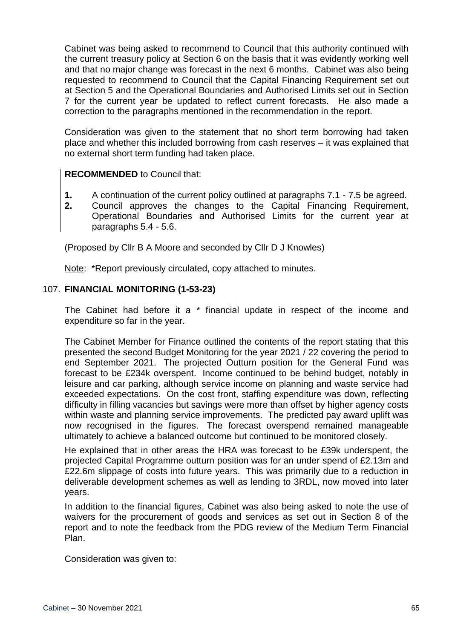Cabinet was being asked to recommend to Council that this authority continued with the current treasury policy at Section 6 on the basis that it was evidently working well and that no major change was forecast in the next 6 months. Cabinet was also being requested to recommend to Council that the Capital Financing Requirement set out at Section 5 and the Operational Boundaries and Authorised Limits set out in Section 7 for the current year be updated to reflect current forecasts. He also made a correction to the paragraphs mentioned in the recommendation in the report.

Consideration was given to the statement that no short term borrowing had taken place and whether this included borrowing from cash reserves – it was explained that no external short term funding had taken place.

# **RECOMMENDED** to Council that:

- **1.** A continuation of the current policy outlined at paragraphs 7.1 7.5 be agreed.
- **2.** Council approves the changes to the Capital Financing Requirement, Operational Boundaries and Authorised Limits for the current year at paragraphs 5.4 - 5.6.

(Proposed by Cllr B A Moore and seconded by Cllr D J Knowles)

Note: \*Report previously circulated, copy attached to minutes.

## 107. **FINANCIAL MONITORING (1-53-23)**

The Cabinet had before it a \* financial update in respect of the income and expenditure so far in the year.

The Cabinet Member for Finance outlined the contents of the report stating that this presented the second Budget Monitoring for the year 2021 / 22 covering the period to end September 2021. The projected Outturn position for the General Fund was forecast to be £234k overspent. Income continued to be behind budget, notably in leisure and car parking, although service income on planning and waste service had exceeded expectations. On the cost front, staffing expenditure was down, reflecting difficulty in filling vacancies but savings were more than offset by higher agency costs within waste and planning service improvements. The predicted pay award uplift was now recognised in the figures. The forecast overspend remained manageable ultimately to achieve a balanced outcome but continued to be monitored closely.

He explained that in other areas the HRA was forecast to be £39k underspent, the projected Capital Programme outturn position was for an under spend of £2.13m and £22.6m slippage of costs into future years. This was primarily due to a reduction in deliverable development schemes as well as lending to 3RDL, now moved into later years.

In addition to the financial figures, Cabinet was also being asked to note the use of waivers for the procurement of goods and services as set out in Section 8 of the report and to note the feedback from the PDG review of the Medium Term Financial Plan.

Consideration was given to: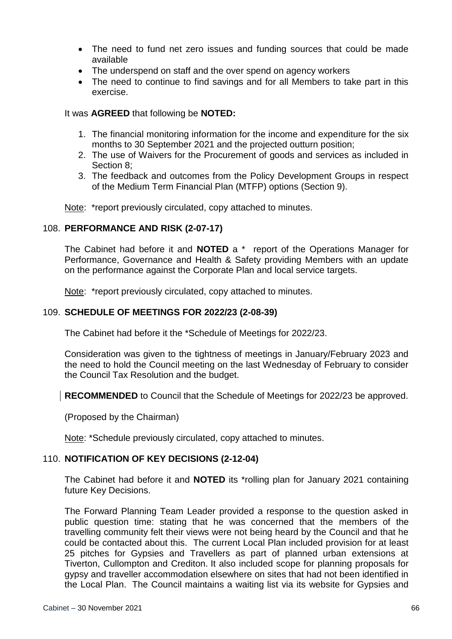- The need to fund net zero issues and funding sources that could be made available
- The underspend on staff and the over spend on agency workers
- The need to continue to find savings and for all Members to take part in this exercise.

## It was **AGREED** that following be **NOTED:**

- 1. The financial monitoring information for the income and expenditure for the six months to 30 September 2021 and the projected outturn position;
- 2. The use of Waivers for the Procurement of goods and services as included in Section 8;
- 3. The feedback and outcomes from the Policy Development Groups in respect of the Medium Term Financial Plan (MTFP) options (Section 9).

Note: \*report previously circulated, copy attached to minutes.

# 108. **PERFORMANCE AND RISK (2-07-17)**

The Cabinet had before it and **NOTED** a \* report of the Operations Manager for Performance, Governance and Health & Safety providing Members with an update on the performance against the Corporate Plan and local service targets.

Note: \*report previously circulated, copy attached to minutes.

# 109. **SCHEDULE OF MEETINGS FOR 2022/23 (2-08-39)**

The Cabinet had before it the \*Schedule of Meetings for 2022/23.

Consideration was given to the tightness of meetings in January/February 2023 and the need to hold the Council meeting on the last Wednesday of February to consider the Council Tax Resolution and the budget.

**RECOMMENDED** to Council that the Schedule of Meetings for 2022/23 be approved.

(Proposed by the Chairman)

Note: \*Schedule previously circulated, copy attached to minutes.

## 110. **NOTIFICATION OF KEY DECISIONS (2-12-04)**

The Cabinet had before it and **NOTED** its \*rolling plan for January 2021 containing future Key Decisions.

The Forward Planning Team Leader provided a response to the question asked in public question time: stating that he was concerned that the members of the travelling community felt their views were not being heard by the Council and that he could be contacted about this. The current Local Plan included provision for at least 25 pitches for Gypsies and Travellers as part of planned urban extensions at Tiverton, Cullompton and Crediton. It also included scope for planning proposals for gypsy and traveller accommodation elsewhere on sites that had not been identified in the Local Plan. The Council maintains a waiting list via its website for Gypsies and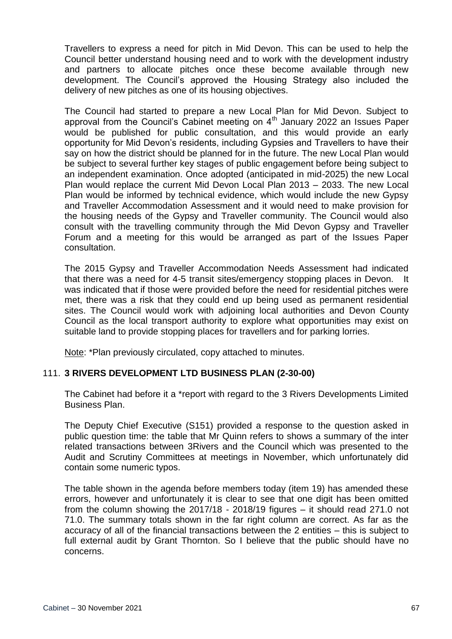Travellers to express a need for pitch in Mid Devon. This can be used to help the Council better understand housing need and to work with the development industry and partners to allocate pitches once these become available through new development. The Council's approved the Housing Strategy also included the delivery of new pitches as one of its housing objectives.

The Council had started to prepare a new Local Plan for Mid Devon. Subject to approval from the Council's Cabinet meeting on  $4<sup>th</sup>$  January 2022 an Issues Paper would be published for public consultation, and this would provide an early opportunity for Mid Devon's residents, including Gypsies and Travellers to have their say on how the district should be planned for in the future. The new Local Plan would be subject to several further key stages of public engagement before being subject to an independent examination. Once adopted (anticipated in mid-2025) the new Local Plan would replace the current Mid Devon Local Plan 2013 – 2033. The new Local Plan would be informed by technical evidence, which would include the new Gypsy and Traveller Accommodation Assessment and it would need to make provision for the housing needs of the Gypsy and Traveller community. The Council would also consult with the travelling community through the Mid Devon Gypsy and Traveller Forum and a meeting for this would be arranged as part of the Issues Paper consultation.

The 2015 Gypsy and Traveller Accommodation Needs Assessment had indicated that there was a need for 4-5 transit sites/emergency stopping places in Devon. It was indicated that if those were provided before the need for residential pitches were met, there was a risk that they could end up being used as permanent residential sites. The Council would work with adjoining local authorities and Devon County Council as the local transport authority to explore what opportunities may exist on suitable land to provide stopping places for travellers and for parking lorries.

Note: \*Plan previously circulated, copy attached to minutes.

## 111. **3 RIVERS DEVELOPMENT LTD BUSINESS PLAN (2-30-00)**

The Cabinet had before it a \*report with regard to the 3 Rivers Developments Limited Business Plan.

The Deputy Chief Executive (S151) provided a response to the question asked in public question time: the table that Mr Quinn refers to shows a summary of the inter related transactions between 3Rivers and the Council which was presented to the Audit and Scrutiny Committees at meetings in November, which unfortunately did contain some numeric typos.

The table shown in the agenda before members today (item 19) has amended these errors, however and unfortunately it is clear to see that one digit has been omitted from the column showing the 2017/18 - 2018/19 figures – it should read 271.0 not 71.0. The summary totals shown in the far right column are correct. As far as the accuracy of all of the financial transactions between the 2 entities – this is subject to full external audit by Grant Thornton. So I believe that the public should have no concerns.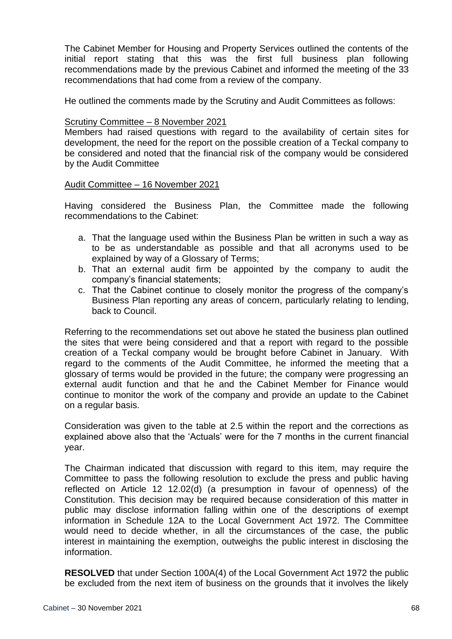The Cabinet Member for Housing and Property Services outlined the contents of the initial report stating that this was the first full business plan following recommendations made by the previous Cabinet and informed the meeting of the 33 recommendations that had come from a review of the company.

He outlined the comments made by the Scrutiny and Audit Committees as follows:

#### Scrutiny Committee – 8 November 2021

Members had raised questions with regard to the availability of certain sites for development, the need for the report on the possible creation of a Teckal company to be considered and noted that the financial risk of the company would be considered by the Audit Committee

Audit Committee – 16 November 2021

Having considered the Business Plan, the Committee made the following recommendations to the Cabinet:

- a. That the language used within the Business Plan be written in such a way as to be as understandable as possible and that all acronyms used to be explained by way of a Glossary of Terms;
- b. That an external audit firm be appointed by the company to audit the company's financial statements;
- c. That the Cabinet continue to closely monitor the progress of the company's Business Plan reporting any areas of concern, particularly relating to lending, back to Council.

Referring to the recommendations set out above he stated the business plan outlined the sites that were being considered and that a report with regard to the possible creation of a Teckal company would be brought before Cabinet in January. With regard to the comments of the Audit Committee, he informed the meeting that a glossary of terms would be provided in the future; the company were progressing an external audit function and that he and the Cabinet Member for Finance would continue to monitor the work of the company and provide an update to the Cabinet on a regular basis.

Consideration was given to the table at 2.5 within the report and the corrections as explained above also that the 'Actuals' were for the 7 months in the current financial year.

The Chairman indicated that discussion with regard to this item, may require the Committee to pass the following resolution to exclude the press and public having reflected on Article 12 12.02(d) (a presumption in favour of openness) of the Constitution. This decision may be required because consideration of this matter in public may disclose information falling within one of the descriptions of exempt information in Schedule 12A to the Local Government Act 1972. The Committee would need to decide whether, in all the circumstances of the case, the public interest in maintaining the exemption, outweighs the public interest in disclosing the information.

**RESOLVED** that under Section 100A(4) of the Local Government Act 1972 the public be excluded from the next item of business on the grounds that it involves the likely